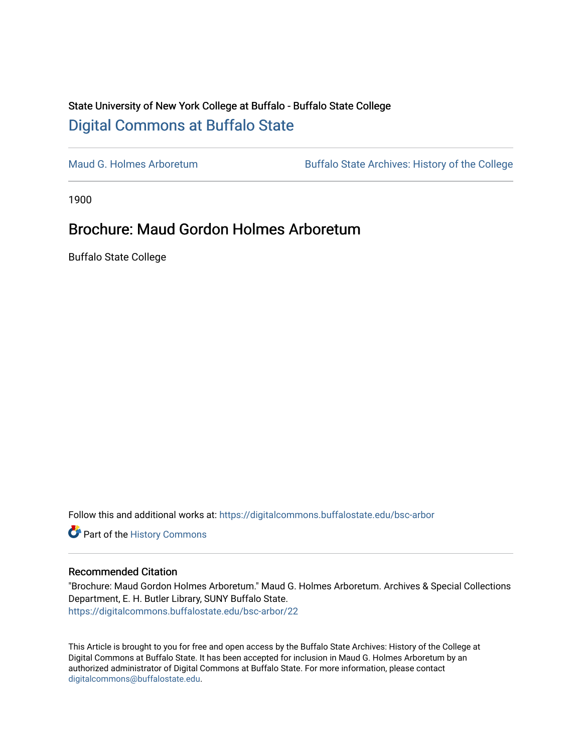## State University of New York College at Buffalo - Buffalo State College [Digital Commons at Buffalo State](https://digitalcommons.buffalostate.edu/)

[Maud G. Holmes Arboretum](https://digitalcommons.buffalostate.edu/bsc-arbor) Buffalo State Archives: History of the College

1900

## Brochure: Maud Gordon Holmes Arboretum

Buffalo State College

Follow this and additional works at: [https://digitalcommons.buffalostate.edu/bsc-arbor](https://digitalcommons.buffalostate.edu/bsc-arbor?utm_source=digitalcommons.buffalostate.edu%2Fbsc-arbor%2F22&utm_medium=PDF&utm_campaign=PDFCoverPages) 

Part of the [History Commons](http://network.bepress.com/hgg/discipline/489?utm_source=digitalcommons.buffalostate.edu%2Fbsc-arbor%2F22&utm_medium=PDF&utm_campaign=PDFCoverPages) 

## Recommended Citation

"Brochure: Maud Gordon Holmes Arboretum." Maud G. Holmes Arboretum. Archives & Special Collections Department, E. H. Butler Library, SUNY Buffalo State. [https://digitalcommons.buffalostate.edu/bsc-arbor/22](https://digitalcommons.buffalostate.edu/bsc-arbor/22?utm_source=digitalcommons.buffalostate.edu%2Fbsc-arbor%2F22&utm_medium=PDF&utm_campaign=PDFCoverPages) 

This Article is brought to you for free and open access by the Buffalo State Archives: History of the College at Digital Commons at Buffalo State. It has been accepted for inclusion in Maud G. Holmes Arboretum by an authorized administrator of Digital Commons at Buffalo State. For more information, please contact [digitalcommons@buffalostate.edu.](mailto:digitalcommons@buffalostate.edu)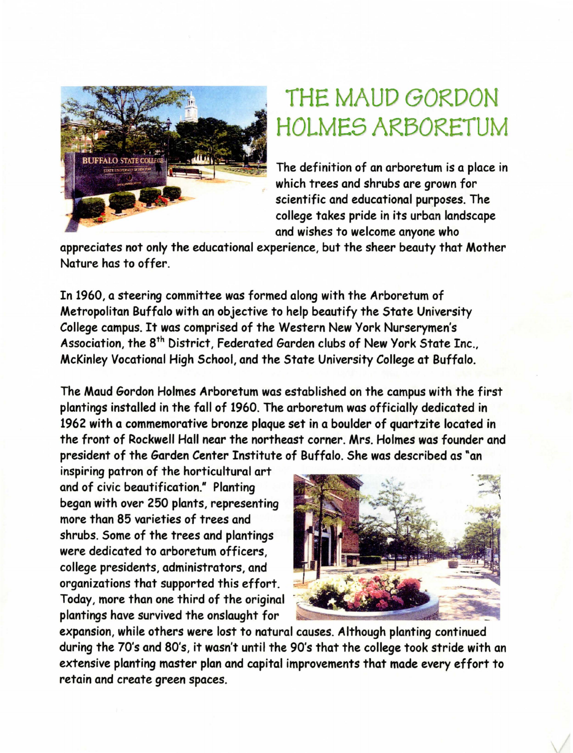

## THE MAUD GORDON HOLMES ARBORETUM

The definition of an arboretum is a place in which trees and shrubs are grown for scientific and educational purposes. The college takes pride in its urban landscape and wishes to welcome anyone who

appreciates not only the educational experience, but the sheer beauty that Mother Nature has to offer.

In 1960, a steering committee was formed along with the Arboretum of Metropolitan Buffalo with an objective to help beautify the State University College campus. It was comprised of the Western New York Nurserymen's Association, the 8<sup>th</sup> District, Federated Garden clubs of New York State Inc., McKinley Vocational High School, and the State University College at Buffalo.

The Maud Gordon Holmes Arboretum was established on the campus with the first plantings installed in the fall of 1960. The arboretum was officially dedicated in 1962 with a commemorative bronze plaque set in a boulder of quartzite located in the front of Rockwell Hall near the northeast corner. Mrs. Holmes was founder and president of the Garden Center Institute of Buffalo. She was described as "an

inspiring patron of the horticultural art and of civic beautification." Planting began with over 250 plants, representing more than 85 varieties of trees and shrubs. Some of the trees and plantings **were** dedicated to arboretum officers, college presidents, administrators, and organizations that supported this effort. Today, more than one third of the original plantings have survived the onslaught for



expansion, while others were lost to natural causes. Although planting continued during the 70's and 80's, it wasn't until the 90's that the college took stride with an extensive planting master plan and capital improvements that made every effort to retain and create green spaces.